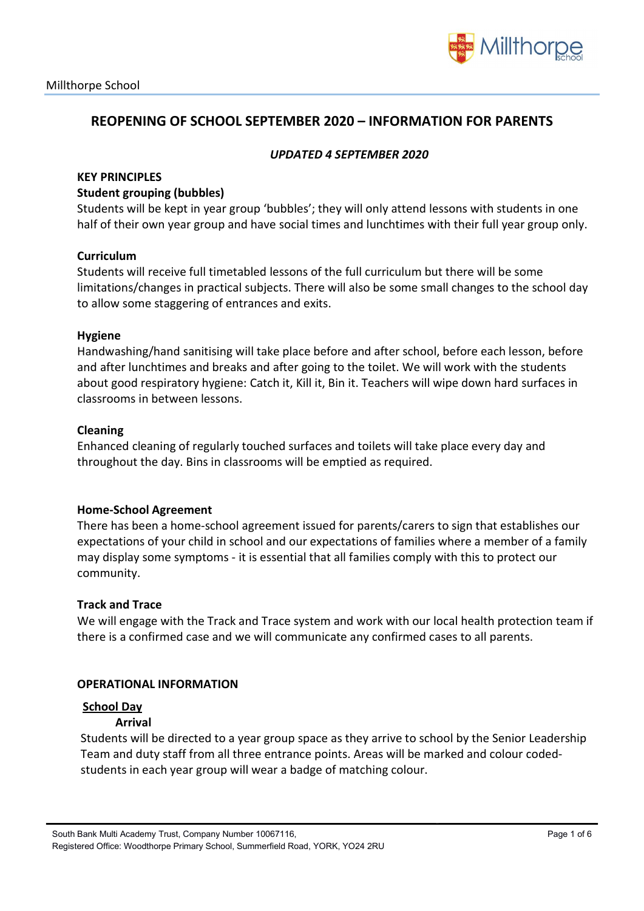

# REOPENING OF SCHOOL SEPTEMBER 2020 – INFORMATION FOR PARENTS

### UPDATED 4 SEPTEMBER 2020

### **KEY PRINCIPLES**

#### Student grouping (bubbles)

Students will be kept in year group 'bubbles'; they will only attend lessons with students in one half of their own year group and have social times and lunchtimes with their full year group only.

### Curriculum

Students will receive full timetabled lessons of the full curriculum but there will be some limitations/changes in practical subjects. There will also be some small changes to the school day to allow some staggering of entrances and exits.

#### Hygiene

Handwashing/hand sanitising will take place before and after school, before each lesson, before and after lunchtimes and breaks and after going to the toilet. We will work with the students about good respiratory hygiene: Catch it, Kill it, Bin it. Teachers will wipe down hard surfaces in classrooms in between lessons.

### Cleaning

Enhanced cleaning of regularly touched surfaces and toilets will take place every day and throughout the day. Bins in classrooms will be emptied as required.

#### Home-School Agreement

There has been a home-school agreement issued for parents/carers to sign that establishes our expectations of your child in school and our expectations of families where a member of a family may display some symptoms - it is essential that all families comply with this to protect our community.

#### Track and Trace

We will engage with the Track and Trace system and work with our local health protection team if there is a confirmed case and we will communicate any confirmed cases to all parents.

#### OPERATIONAL INFORMATION

#### School Day

#### Arrival

Students will be directed to a year group space as they arrive to school by the Senior Leadership Team and duty staff from all three entrance points. Areas will be marked and colour codedstudents in each year group will wear a badge of matching colour.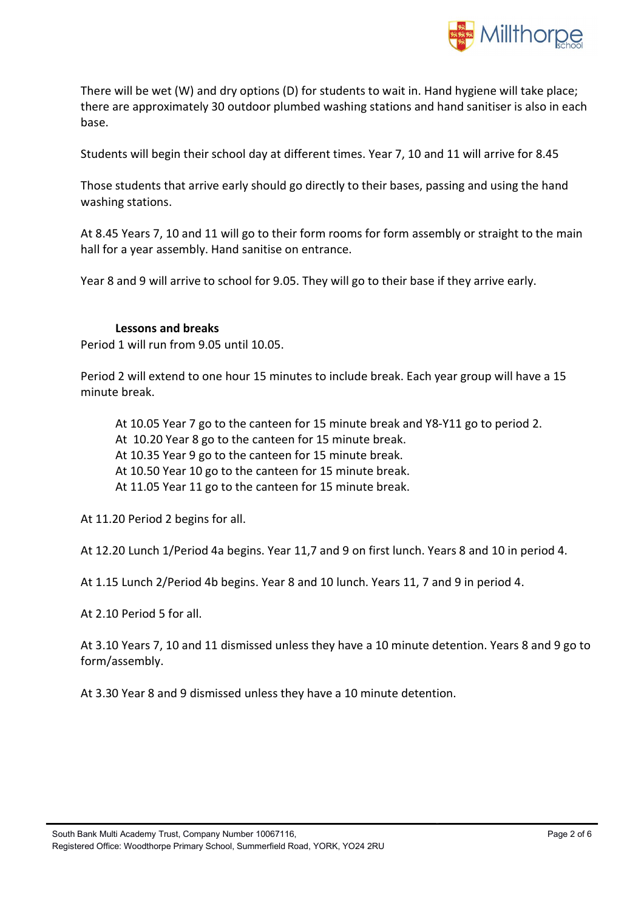

There will be wet (W) and dry options (D) for students to wait in. Hand hygiene will take place; there are approximately 30 outdoor plumbed washing stations and hand sanitiser is also in each base.

Students will begin their school day at different times. Year 7, 10 and 11 will arrive for 8.45

Those students that arrive early should go directly to their bases, passing and using the hand washing stations.

At 8.45 Years 7, 10 and 11 will go to their form rooms for form assembly or straight to the main hall for a year assembly. Hand sanitise on entrance.

Year 8 and 9 will arrive to school for 9.05. They will go to their base if they arrive early.

### Lessons and breaks

Period 1 will run from 9.05 until 10.05.

Period 2 will extend to one hour 15 minutes to include break. Each year group will have a 15 minute break.

At 10.05 Year 7 go to the canteen for 15 minute break and Y8-Y11 go to period 2. At 10.20 Year 8 go to the canteen for 15 minute break. At 10.35 Year 9 go to the canteen for 15 minute break. At 10.50 Year 10 go to the canteen for 15 minute break. At 11.05 Year 11 go to the canteen for 15 minute break.

At 11.20 Period 2 begins for all.

At 12.20 Lunch 1/Period 4a begins. Year 11,7 and 9 on first lunch. Years 8 and 10 in period 4.

At 1.15 Lunch 2/Period 4b begins. Year 8 and 10 lunch. Years 11, 7 and 9 in period 4.

At 2.10 Period 5 for all.

At 3.10 Years 7, 10 and 11 dismissed unless they have a 10 minute detention. Years 8 and 9 go to form/assembly.

At 3.30 Year 8 and 9 dismissed unless they have a 10 minute detention.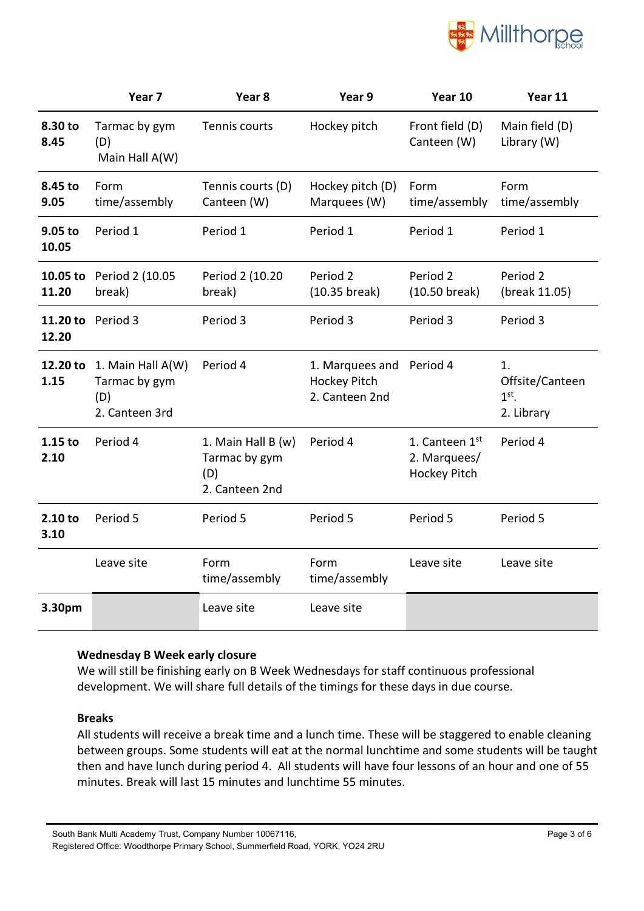

|                   | Year <sub>7</sub>                                           | Year <sub>8</sub>                                            | Year 9                                                            | Year 10                                               | Year 11                                        |
|-------------------|-------------------------------------------------------------|--------------------------------------------------------------|-------------------------------------------------------------------|-------------------------------------------------------|------------------------------------------------|
| 8.30 to<br>8.45   | Tarmac by gym<br>(D)<br>Main Hall A(W)                      | Tennis courts                                                | Hockey pitch                                                      | Front field (D)<br>Canteen (W)                        | Main field (D)<br>Library (W)                  |
| 8.45 to<br>9.05   | Form<br>time/assembly                                       | Tennis courts (D)<br>Canteen (W)                             | Hockey pitch (D)<br>Marquees (W)                                  | Form<br>time/assembly                                 | Form<br>time/assembly                          |
| 9.05 to<br>10.05  | Period 1                                                    | Period 1                                                     | Period 1                                                          | Period 1                                              | Period 1                                       |
| 10.05 to<br>11.20 | Period 2 (10.05<br>break)                                   | Period 2 (10.20<br>break)                                    | Period 2<br>(10.35 break)                                         | Period <sub>2</sub><br>(10.50 break)                  | Period 2<br>(break 11.05)                      |
| 11.20 to<br>12.20 | Period 3                                                    | Period 3                                                     | Period 3                                                          | Period 3                                              | Period 3                                       |
| 12.20 to<br>1.15  | 1. Main Hall A(W)<br>Tarmac by gym<br>(D)<br>2. Canteen 3rd | Period 4                                                     | 1. Marquees and Period 4<br><b>Hockey Pitch</b><br>2. Canteen 2nd |                                                       | 1.<br>Offsite/Canteen<br>$1st$ .<br>2. Library |
| $1.15$ to<br>2.10 | Period 4                                                    | 1. Main Hall B (w)<br>Tarmac by gym<br>(D)<br>2. Canteen 2nd | Period 4                                                          | 1. Canteen 1st<br>2. Marquees/<br><b>Hockey Pitch</b> | Period 4                                       |
| 2.10 to<br>3.10   | Period 5                                                    | Period 5                                                     | Period 5                                                          | Period 5                                              | Period 5                                       |
|                   | Leave site                                                  | Form<br>time/assembly                                        | Form<br>time/assembly                                             | Leave site                                            | Leave site                                     |
| 3.30pm            |                                                             | Leave site                                                   | Leave site                                                        |                                                       |                                                |

## Wednesday B Week early closure

We will still be finishing early on B Week Wednesdays for staff continuous professional development. We will share full details of the timings for these days in due course.

## Breaks

All students will receive a break time and a lunch time. These will be staggered to enable cleaning between groups. Some students will eat at the normal lunchtime and some students will be taught then and have lunch during period 4. All students will have four lessons of an hour and one of 55 minutes. Break will last 15 minutes and lunchtime 55 minutes.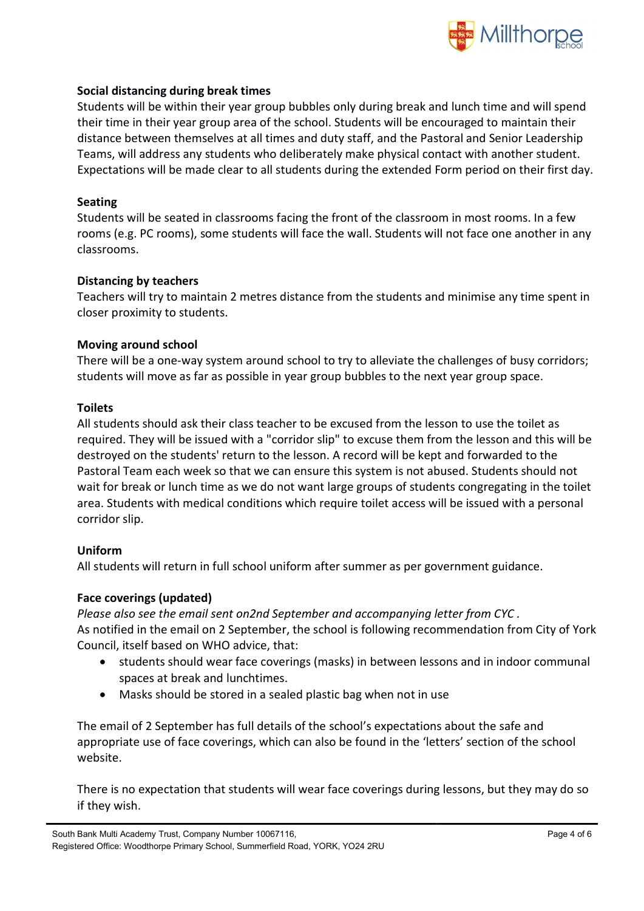

## Social distancing during break times

Students will be within their year group bubbles only during break and lunch time and will spend their time in their year group area of the school. Students will be encouraged to maintain their distance between themselves at all times and duty staff, and the Pastoral and Senior Leadership Teams, will address any students who deliberately make physical contact with another student. Expectations will be made clear to all students during the extended Form period on their first day.

#### Seating

Students will be seated in classrooms facing the front of the classroom in most rooms. In a few rooms (e.g. PC rooms), some students will face the wall. Students will not face one another in any classrooms.

### Distancing by teachers

Teachers will try to maintain 2 metres distance from the students and minimise any time spent in closer proximity to students.

### Moving around school

There will be a one-way system around school to try to alleviate the challenges of busy corridors; students will move as far as possible in year group bubbles to the next year group space.

### Toilets

All students should ask their class teacher to be excused from the lesson to use the toilet as required. They will be issued with a "corridor slip" to excuse them from the lesson and this will be destroyed on the students' return to the lesson. A record will be kept and forwarded to the Pastoral Team each week so that we can ensure this system is not abused. Students should not wait for break or lunch time as we do not want large groups of students congregating in the toilet area. Students with medical conditions which require toilet access will be issued with a personal corridor slip.

## Uniform

All students will return in full school uniform after summer as per government guidance.

## Face coverings (updated)

Please also see the email sent on2nd September and accompanying letter from CYC . As notified in the email on 2 September, the school is following recommendation from City of York Council, itself based on WHO advice, that:

- students should wear face coverings (masks) in between lessons and in indoor communal spaces at break and lunchtimes.
- Masks should be stored in a sealed plastic bag when not in use

The email of 2 September has full details of the school's expectations about the safe and appropriate use of face coverings, which can also be found in the 'letters' section of the school website.

There is no expectation that students will wear face coverings during lessons, but they may do so if they wish.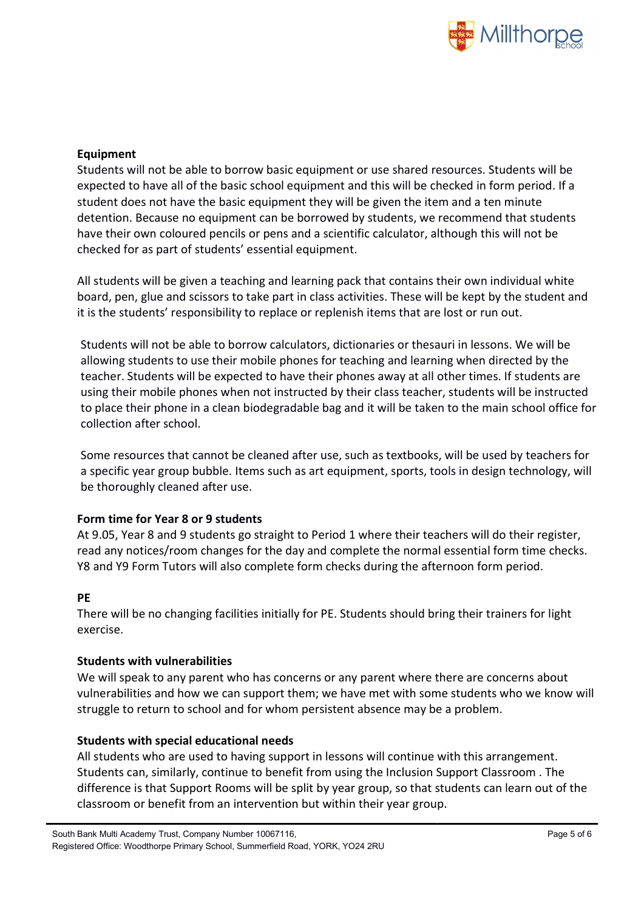

## Equipment

Students will not be able to borrow basic equipment or use shared resources. Students will be expected to have all of the basic school equipment and this will be checked in form period. If a student does not have the basic equipment they will be given the item and a ten minute detention. Because no equipment can be borrowed by students, we recommend that students have their own coloured pencils or pens and a scientific calculator, although this will not be checked for as part of students' essential equipment.

All students will be given a teaching and learning pack that contains their own individual white board, pen, glue and scissors to take part in class activities. These will be kept by the student and it is the students' responsibility to replace or replenish items that are lost or run out.

Students will not be able to borrow calculators, dictionaries or thesauri in lessons. We will be allowing students to use their mobile phones for teaching and learning when directed by the teacher. Students will be expected to have their phones away at all other times. If students are using their mobile phones when not instructed by their class teacher, students will be instructed to place their phone in a clean biodegradable bag and it will be taken to the main school office for collection after school.

Some resources that cannot be cleaned after use, such as textbooks, will be used by teachers for a specific year group bubble. Items such as art equipment, sports, tools in design technology, will be thoroughly cleaned after use.

## Form time for Year 8 or 9 students

At 9.05, Year 8 and 9 students go straight to Period 1 where their teachers will do their register, read any notices/room changes for the day and complete the normal essential form time checks. Y8 and Y9 Form Tutors will also complete form checks during the afternoon form period.

## PE

There will be no changing facilities initially for PE. Students should bring their trainers for light exercise.

## Students with vulnerabilities

We will speak to any parent who has concerns or any parent where there are concerns about vulnerabilities and how we can support them; we have met with some students who we know will struggle to return to school and for whom persistent absence may be a problem.

## Students with special educational needs

All students who are used to having support in lessons will continue with this arrangement. Students can, similarly, continue to benefit from using the Inclusion Support Classroom . The difference is that Support Rooms will be split by year group, so that students can learn out of the classroom or benefit from an intervention but within their year group.